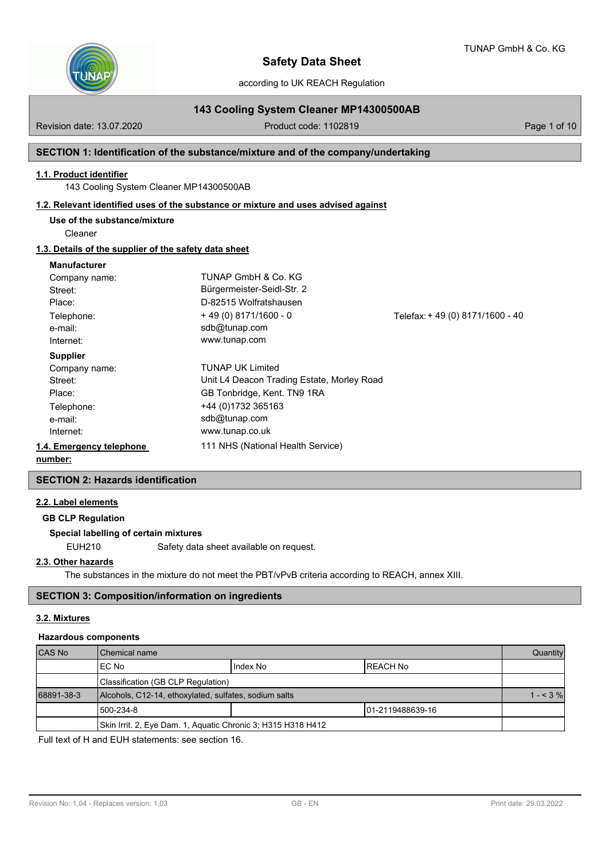

according to UK REACH Regulation

# **143 Cooling System Cleaner MP14300500AB**

Revision date: 13.07.2020 **Product code: 1102819** Page 1 of 10

## **SECTION 1: Identification of the substance/mixture and of the company/undertaking**

## **1.1. Product identifier**

143 Cooling System Cleaner MP14300500AB

## **1.2. Relevant identified uses of the substance or mixture and uses advised against**

**Use of the substance/mixture**

Cleaner

## **1.3. Details of the supplier of the safety data sheet**

#### **Manufacturer**

| Company name:            | TUNAP GmbH & Co. KG                        |                                 |
|--------------------------|--------------------------------------------|---------------------------------|
| Street:                  | Bürgermeister-Seidl-Str. 2                 |                                 |
| Place:                   | D-82515 Wolfratshausen                     |                                 |
| Telephone:               | $+49(0)8171/1600 - 0$                      | Telefax: +49 (0) 8171/1600 - 40 |
| e-mail:                  | sdb@tunap.com                              |                                 |
| Internet:                | www.tunap.com                              |                                 |
| <b>Supplier</b>          |                                            |                                 |
| Company name:            | <b>TUNAP UK Limited</b>                    |                                 |
| Street:                  | Unit L4 Deacon Trading Estate, Morley Road |                                 |
| Place:                   | GB Tonbridge, Kent. TN9 1RA                |                                 |
| Telephone:               | +44 (0)1732 365163                         |                                 |
| e-mail:                  | sdb@tunap.com                              |                                 |
| Internet:                | www.tunap.co.uk                            |                                 |
| 1.4. Emergency telephone | 111 NHS (National Health Service)          |                                 |
| . 1.                     |                                            |                                 |

#### **number:**

## **SECTION 2: Hazards identification**

#### **2.2. Label elements**

**GB CLP Regulation**

## **Special labelling of certain mixtures**

EUH210 Safety data sheet available on request.

## **2.3. Other hazards**

The substances in the mixture do not meet the PBT/vPvB criteria according to REACH, annex XIII.

## **SECTION 3: Composition/information on ingredients**

## **3.2. Mixtures**

#### **Hazardous components**

| CAS No     | l Chemical name                                              |          |           | Quantity  |
|------------|--------------------------------------------------------------|----------|-----------|-----------|
|            | IEC No                                                       | Index No | IREACH No |           |
|            | Classification (GB CLP Regulation)                           |          |           |           |
| 68891-38-3 | Alcohols, C12-14, ethoxylated, sulfates, sodium salts        |          |           | $1 - 3\%$ |
|            | 1500-234-8<br>101-2119488639-16                              |          |           |           |
|            | Skin Irrit. 2, Eye Dam. 1, Aquatic Chronic 3; H315 H318 H412 |          |           |           |

Full text of H and EUH statements: see section 16.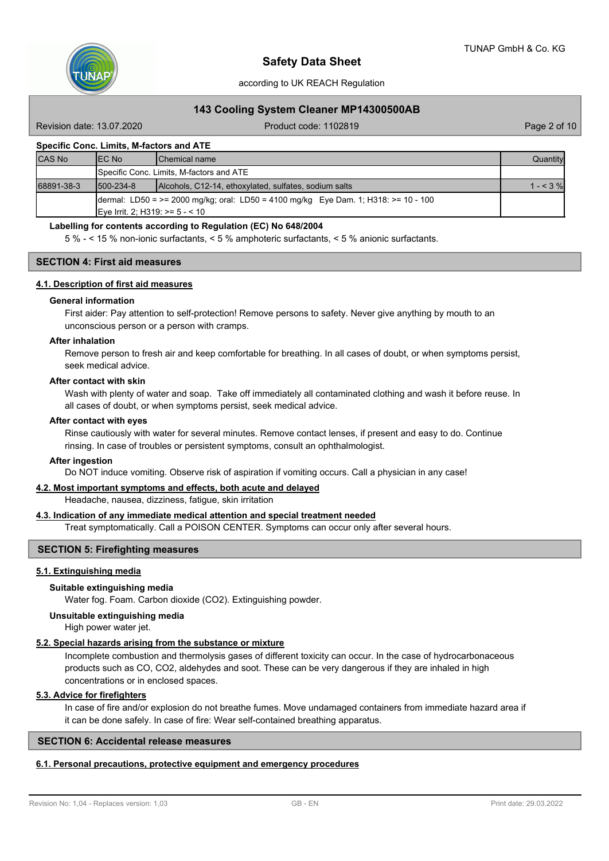

## **143 Cooling System Cleaner MP14300500AB**

Revision date: 13.07.2020 **Product code: 1102819** Page 2 of 10

## **Specific Conc. Limits, M-factors and ATE**

| <b>CAS No</b> | IEC No                           | <b>IChemical name</b>                                                                     | Quantity  |
|---------------|----------------------------------|-------------------------------------------------------------------------------------------|-----------|
|               |                                  | Specific Conc. Limits, M-factors and ATE                                                  |           |
| 68891-38-3    | $1500 - 234 - 8$                 | Alcohols, C12-14, ethoxylated, sulfates, sodium salts                                     | $1 - 3\%$ |
|               | Eye Irrit. 2; H319: $> = 5 - 10$ | $\mu$ dermal: LD50 = >= 2000 mg/kg; oral: LD50 = 4100 mg/kg Eye Dam. 1; H318: >= 10 - 100 |           |

#### **Labelling for contents according to Regulation (EC) No 648/2004**

5 % - < 15 % non-ionic surfactants, < 5 % amphoteric surfactants, < 5 % anionic surfactants.

## **SECTION 4: First aid measures**

#### **4.1. Description of first aid measures**

#### **General information**

First aider: Pay attention to self-protection! Remove persons to safety. Never give anything by mouth to an unconscious person or a person with cramps.

#### **After inhalation**

Remove person to fresh air and keep comfortable for breathing. In all cases of doubt, or when symptoms persist, seek medical advice.

#### **After contact with skin**

Wash with plenty of water and soap. Take off immediately all contaminated clothing and wash it before reuse. In all cases of doubt, or when symptoms persist, seek medical advice.

#### **After contact with eyes**

Rinse cautiously with water for several minutes. Remove contact lenses, if present and easy to do. Continue rinsing. In case of troubles or persistent symptoms, consult an ophthalmologist.

#### **After ingestion**

Do NOT induce vomiting. Observe risk of aspiration if vomiting occurs. Call a physician in any case!

## **4.2. Most important symptoms and effects, both acute and delayed**

Headache, nausea, dizziness, fatigue, skin irritation

## **4.3. Indication of any immediate medical attention and special treatment needed**

Treat symptomatically. Call a POISON CENTER. Symptoms can occur only after several hours.

## **SECTION 5: Firefighting measures**

## **5.1. Extinguishing media**

#### **Suitable extinguishing media**

Water fog. Foam. Carbon dioxide (CO2). Extinguishing powder.

## **Unsuitable extinguishing media**

High power water jet.

#### **5.2. Special hazards arising from the substance or mixture**

Incomplete combustion and thermolysis gases of different toxicity can occur. In the case of hydrocarbonaceous products such as CO, CO2, aldehydes and soot. These can be very dangerous if they are inhaled in high concentrations or in enclosed spaces.

# **5.3. Advice for firefighters**

In case of fire and/or explosion do not breathe fumes. Move undamaged containers from immediate hazard area if it can be done safely. In case of fire: Wear self-contained breathing apparatus.

## **SECTION 6: Accidental release measures**

#### **6.1. Personal precautions, protective equipment and emergency procedures**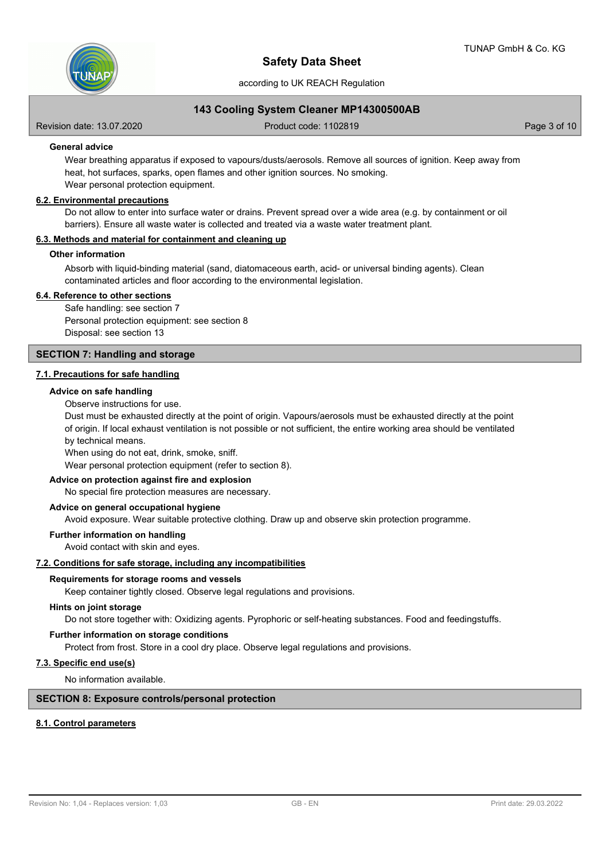

## **143 Cooling System Cleaner MP14300500AB**

Revision date: 13.07.2020 **Product code: 1102819** Page 3 of 10

## **General advice**

Wear breathing apparatus if exposed to vapours/dusts/aerosols. Remove all sources of ignition. Keep away from heat, hot surfaces, sparks, open flames and other ignition sources. No smoking. Wear personal protection equipment.

#### **6.2. Environmental precautions**

Do not allow to enter into surface water or drains. Prevent spread over a wide area (e.g. by containment or oil barriers). Ensure all waste water is collected and treated via a waste water treatment plant.

## **6.3. Methods and material for containment and cleaning up**

#### **Other information**

Absorb with liquid-binding material (sand, diatomaceous earth, acid- or universal binding agents). Clean contaminated articles and floor according to the environmental legislation.

#### **6.4. Reference to other sections**

Safe handling: see section 7 Personal protection equipment: see section 8 Disposal: see section 13

## **SECTION 7: Handling and storage**

## **7.1. Precautions for safe handling**

#### **Advice on safe handling**

Observe instructions for use.

Dust must be exhausted directly at the point of origin. Vapours/aerosols must be exhausted directly at the point of origin. If local exhaust ventilation is not possible or not sufficient, the entire working area should be ventilated by technical means.

When using do not eat, drink, smoke, sniff.

Wear personal protection equipment (refer to section 8).

## **Advice on protection against fire and explosion**

No special fire protection measures are necessary.

## **Advice on general occupational hygiene**

Avoid exposure. Wear suitable protective clothing. Draw up and observe skin protection programme.

# **Further information on handling**

Avoid contact with skin and eyes.

#### **7.2. Conditions for safe storage, including any incompatibilities**

#### **Requirements for storage rooms and vessels**

Keep container tightly closed. Observe legal regulations and provisions.

#### **Hints on joint storage**

Do not store together with: Oxidizing agents. Pyrophoric or self-heating substances. Food and feedingstuffs.

## **Further information on storage conditions**

Protect from frost. Store in a cool dry place. Observe legal regulations and provisions.

## **7.3. Specific end use(s)**

No information available.

#### **SECTION 8: Exposure controls/personal protection**

## **8.1. Control parameters**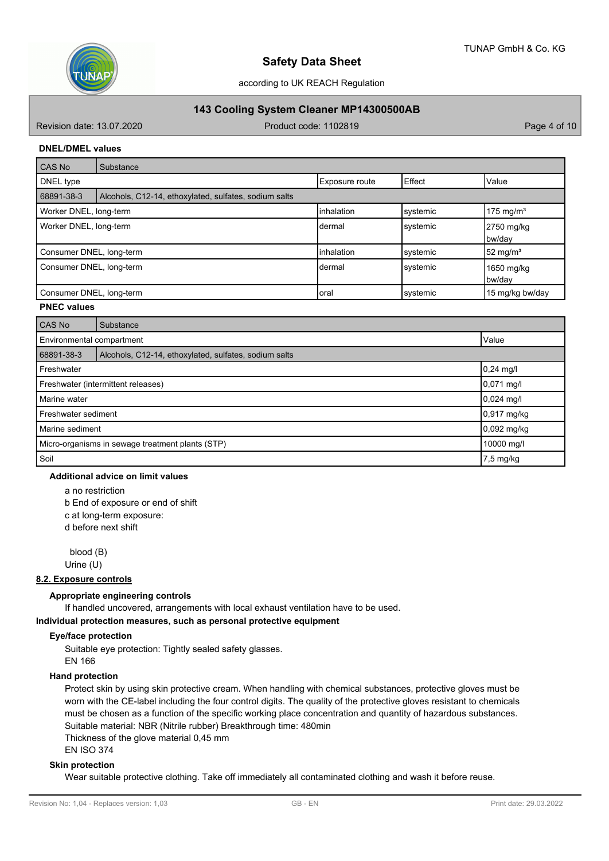

# **143 Cooling System Cleaner MP14300500AB**

Revision date: 13.07.2020 **Product code: 1102819** Page 4 of 10

## **DNEL/DMEL values**

| CAS No                   | Substance                                             |                |          |                       |
|--------------------------|-------------------------------------------------------|----------------|----------|-----------------------|
| DNEL type                |                                                       | Exposure route | Effect   | <b>Value</b>          |
| 68891-38-3               | Alcohols, C12-14, ethoxylated, sulfates, sodium salts |                |          |                       |
| Worker DNEL, long-term   |                                                       | linhalation    | systemic | 175 mg/m <sup>3</sup> |
| Worker DNEL, long-term   |                                                       | Idermal        | systemic | 2750 mg/kg<br>bw/day  |
| Consumer DNEL, long-term |                                                       | linhalation    | systemic | 52 mg/m <sup>3</sup>  |
| Consumer DNEL, long-term |                                                       | Idermal        | systemic | 1650 mg/kg<br>bw/day  |
| Consumer DNEL, long-term |                                                       | loral          | systemic | 15 mg/kg bw/day       |

## **PNEC values**

| CAS No                                           | Substance                                             |             |  |  |
|--------------------------------------------------|-------------------------------------------------------|-------------|--|--|
|                                                  | Environmental compartment<br>Value                    |             |  |  |
| 68891-38-3                                       | Alcohols, C12-14, ethoxylated, sulfates, sodium salts |             |  |  |
| Freshwater                                       |                                                       | $0,24$ mg/l |  |  |
| 0,071 mg/l<br>Freshwater (intermittent releases) |                                                       |             |  |  |
| Marine water                                     | $0,024$ mg/l                                          |             |  |  |
| Freshwater sediment                              | 0,917 mg/kg                                           |             |  |  |
| Marine sediment                                  |                                                       | 0,092 mg/kg |  |  |
| Micro-organisms in sewage treatment plants (STP) |                                                       | 10000 mg/l  |  |  |
| Soil                                             |                                                       | 7,5 mg/kg   |  |  |

#### **Additional advice on limit values**

a no restriction b End of exposure or end of shift c at long-term exposure:

d before next shift

 blood (B) Urine (U)

## **8.2. Exposure controls**

## **Appropriate engineering controls**

If handled uncovered, arrangements with local exhaust ventilation have to be used.

**Individual protection measures, such as personal protective equipment**

## **Eye/face protection**

Suitable eye protection: Tightly sealed safety glasses. EN 166

# **Hand protection**

Protect skin by using skin protective cream. When handling with chemical substances, protective gloves must be worn with the CE-label including the four control digits. The quality of the protective gloves resistant to chemicals must be chosen as a function of the specific working place concentration and quantity of hazardous substances. Suitable material: NBR (Nitrile rubber) Breakthrough time: 480min

Thickness of the glove material 0,45 mm

## EN ISO 374

## **Skin protection**

Wear suitable protective clothing. Take off immediately all contaminated clothing and wash it before reuse.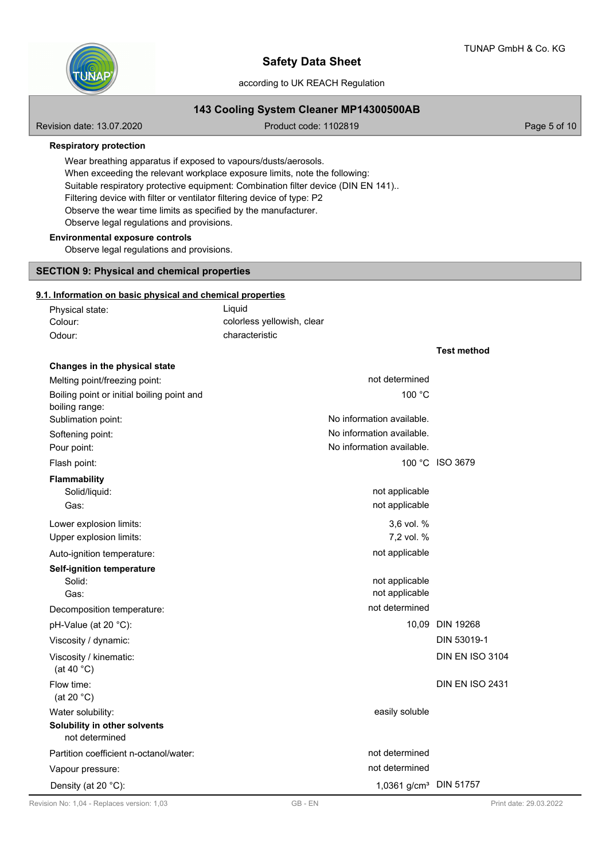**Test method**



# **Safety Data Sheet**

## according to UK REACH Regulation

## **143 Cooling System Cleaner MP14300500AB**

Revision date: 13.07.2020 **Product code: 1102819** Page 5 of 10

**Respiratory protection**

Wear breathing apparatus if exposed to vapours/dusts/aerosols. When exceeding the relevant workplace exposure limits, note the following: Suitable respiratory protective equipment: Combination filter device (DIN EN 141).. Filtering device with filter or ventilator filtering device of type: P2 Observe the wear time limits as specified by the manufacturer. Observe legal regulations and provisions.

## **Environmental exposure controls**

Observe legal regulations and provisions.

# **SECTION 9: Physical and chemical properties**

## **9.1. Information on basic physical and chemical properties**

| Physical state: | Liauid                     |
|-----------------|----------------------------|
| Colour:         | colorless yellowish, clear |
| Odour:          | characteristic             |

| Changes in the physical state                  |                                    |                        |
|------------------------------------------------|------------------------------------|------------------------|
| Melting point/freezing point:                  | not determined                     |                        |
| Boiling point or initial boiling point and     | 100 °C                             |                        |
| boiling range:                                 |                                    |                        |
| Sublimation point:                             | No information available.          |                        |
| Softening point:                               | No information available.          |                        |
| Pour point:                                    | No information available.          |                        |
| Flash point:                                   |                                    | 100 °C ISO 3679        |
| Flammability                                   |                                    |                        |
| Solid/liquid:                                  | not applicable                     |                        |
| Gas:                                           | not applicable                     |                        |
| Lower explosion limits:                        | 3,6 vol. %                         |                        |
| Upper explosion limits:                        | 7,2 vol. %                         |                        |
| Auto-ignition temperature:                     | not applicable                     |                        |
| Self-ignition temperature                      |                                    |                        |
| Solid:                                         | not applicable                     |                        |
| Gas:                                           | not applicable                     |                        |
| Decomposition temperature:                     | not determined                     |                        |
| pH-Value (at 20 °C):                           |                                    | 10,09 DIN 19268        |
| Viscosity / dynamic:                           |                                    | DIN 53019-1            |
| Viscosity / kinematic:<br>(at 40 $^{\circ}$ C) |                                    | <b>DIN EN ISO 3104</b> |
| Flow time:<br>(at 20 $°C$ )                    |                                    | <b>DIN EN ISO 2431</b> |
| Water solubility:                              | easily soluble                     |                        |
| Solubility in other solvents<br>not determined |                                    |                        |
| Partition coefficient n-octanol/water:         | not determined                     |                        |
| Vapour pressure:                               | not determined                     |                        |
| Density (at 20 °C):                            | 1,0361 g/cm <sup>3</sup> DIN 51757 |                        |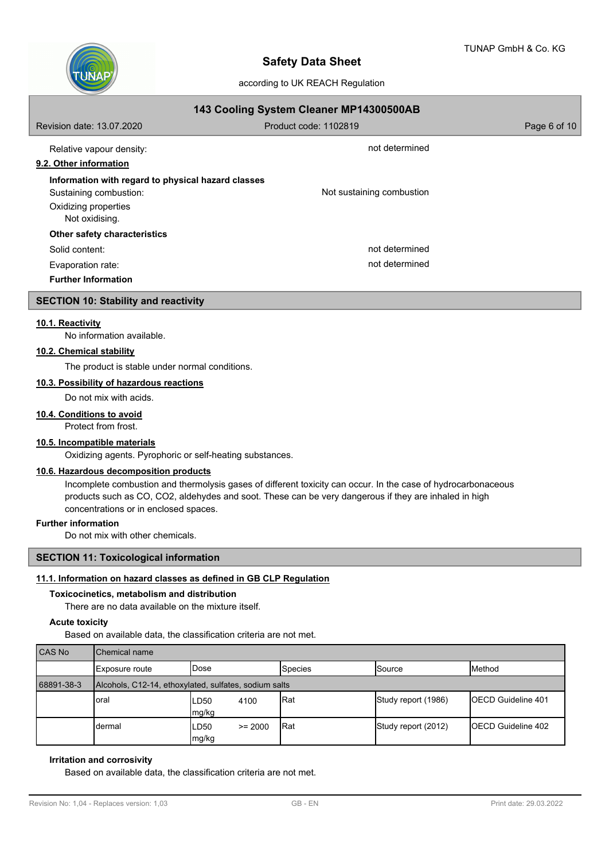

| 143 Cooling System Cleaner MP14300500AB                                                                                |                           |              |  |  |  |  |
|------------------------------------------------------------------------------------------------------------------------|---------------------------|--------------|--|--|--|--|
| Revision date: 13.07.2020                                                                                              | Product code: 1102819     | Page 6 of 10 |  |  |  |  |
| Relative vapour density:<br>9.2. Other information                                                                     | not determined            |              |  |  |  |  |
| Information with regard to physical hazard classes<br>Sustaining combustion:<br>Oxidizing properties<br>Not oxidising. | Not sustaining combustion |              |  |  |  |  |
| Other safety characteristics                                                                                           |                           |              |  |  |  |  |
| Solid content:                                                                                                         | not determined            |              |  |  |  |  |
| Evaporation rate:<br><b>Further Information</b>                                                                        | not determined            |              |  |  |  |  |

## **SECTION 10: Stability and reactivity**

#### **10.1. Reactivity**

No information available.

## **10.2. Chemical stability**

The product is stable under normal conditions.

## **10.3. Possibility of hazardous reactions**

Do not mix with acids.

#### **10.4. Conditions to avoid**

Protect from frost.

## **10.5. Incompatible materials**

Oxidizing agents. Pyrophoric or self-heating substances.

## **10.6. Hazardous decomposition products**

Incomplete combustion and thermolysis gases of different toxicity can occur. In the case of hydrocarbonaceous products such as CO, CO2, aldehydes and soot. These can be very dangerous if they are inhaled in high concentrations or in enclosed spaces.

## **Further information**

Do not mix with other chemicals.

## **SECTION 11: Toxicological information**

# **11.1. Information on hazard classes as defined in GB CLP Regulation**

#### **Toxicocinetics, metabolism and distribution**

There are no data available on the mixture itself.

## **Acute toxicity**

Based on available data, the classification criteria are not met.

| <b>CAS No</b> | l Chemical name                                       |               |           |                |                     |                            |  |
|---------------|-------------------------------------------------------|---------------|-----------|----------------|---------------------|----------------------------|--|
|               | I Exposure route                                      | IDose         |           | <b>Species</b> | <b>Source</b>       | <b>IMethod</b>             |  |
| 68891-38-3    | Alcohols, C12-14, ethoxylated, sulfates, sodium salts |               |           |                |                     |                            |  |
|               | loral                                                 | LD50<br>mg/kg | 4100      | Rat            | Study report (1986) | <b>IOECD Guideline 401</b> |  |
|               | dermal                                                | LD50<br>mg/kg | $>= 2000$ | 'Rat           | Study report (2012) | <b>IOECD Guideline 402</b> |  |

## **Irritation and corrosivity**

Based on available data, the classification criteria are not met.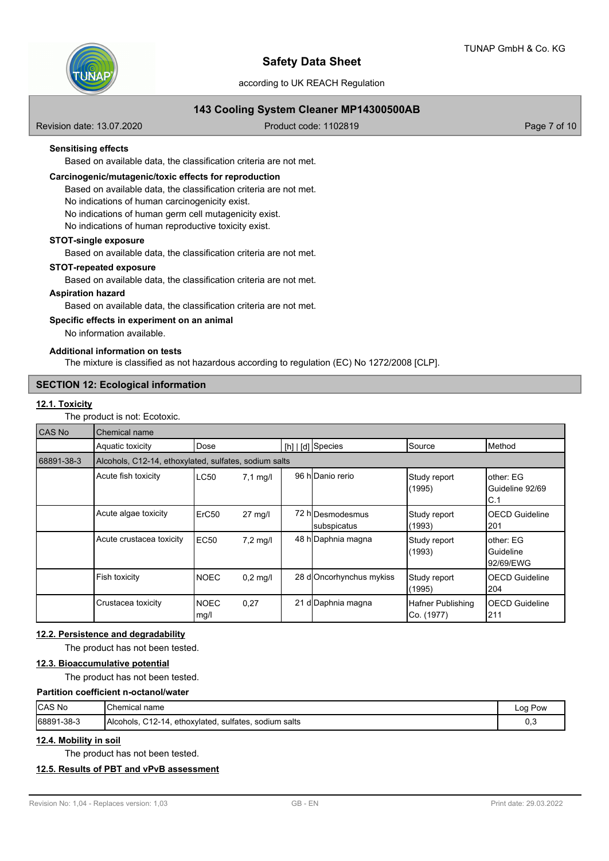

according to UK REACH Regulation

## **143 Cooling System Cleaner MP14300500AB**

Revision date: 13.07.2020 **Product code: 1102819** Page 7 of 10

## **Sensitising effects**

Based on available data, the classification criteria are not met.

#### **Carcinogenic/mutagenic/toxic effects for reproduction**

Based on available data, the classification criteria are not met.

No indications of human carcinogenicity exist.

No indications of human germ cell mutagenicity exist.

No indications of human reproductive toxicity exist.

#### **STOT-single exposure**

Based on available data, the classification criteria are not met.

## **STOT-repeated exposure**

Based on available data, the classification criteria are not met.

## **Aspiration hazard**

Based on available data, the classification criteria are not met.

#### **Specific effects in experiment on an animal**

No information available.

#### **Additional information on tests**

The mixture is classified as not hazardous according to regulation (EC) No 1272/2008 [CLP].

## **SECTION 12: Ecological information**

#### **12.1. Toxicity**

The product is not: Ecotoxic.

| CAS No     | Chemical name                                         |                     |                   |  |                                 |                                 |                                      |  |
|------------|-------------------------------------------------------|---------------------|-------------------|--|---------------------------------|---------------------------------|--------------------------------------|--|
|            | Aquatic toxicity                                      | Dose                |                   |  | [h]   [d] Species               | Source                          | lMethod                              |  |
| 68891-38-3 | Alcohols, C12-14, ethoxylated, sulfates, sodium salts |                     |                   |  |                                 |                                 |                                      |  |
|            | Acute fish toxicity                                   | LC50                | $7,1$ mg/l        |  | 96 hlDanio rerio                | Study report<br>(1995)          | other: EG<br>Guideline 92/69<br> C.1 |  |
|            | Acute algae toxicity                                  | ErC <sub>50</sub>   | $27 \text{ mg/l}$ |  | 72 h Desmodesmus<br>subspicatus | Study report<br>(1993)          | <b>OECD Guideline</b><br>201         |  |
|            | Acute crustacea toxicity                              | EC50                | $7,2$ mg/l        |  | 48 h Daphnia magna              | Study report<br>(1993)          | other: EG<br>Guideline<br>92/69/EWG  |  |
|            | Fish toxicity                                         | <b>NOEC</b>         | $0.2$ mg/l        |  | 28 d Oncorhynchus mykiss        | Study report<br>(1995)          | <b>OECD Guideline</b><br>204         |  |
|            | Crustacea toxicity                                    | <b>NOEC</b><br>mg/l | 0,27              |  | 21 d Daphnia magna              | Hafner Publishing<br>Co. (1977) | <b>OECD Guideline</b><br>211         |  |

## **12.2. Persistence and degradability**

The product has not been tested.

## **12.3. Bioaccumulative potential**

The product has not been tested.

#### **Partition coefficient n-octanol/water**

| <b>ICAS No</b>  | <b>I</b> Chemical<br>name                                                         | ∟oa<br>Pow |
|-----------------|-----------------------------------------------------------------------------------|------------|
| 1-38-3<br>68891 | <b>Alcohols</b><br>$^{\circ}$ .12-14.<br>sodium salts<br>sulfates.<br>ethoxvlated | υ, υ       |

#### **12.4. Mobility in soil**

The product has not been tested.

## **12.5. Results of PBT and vPvB assessment**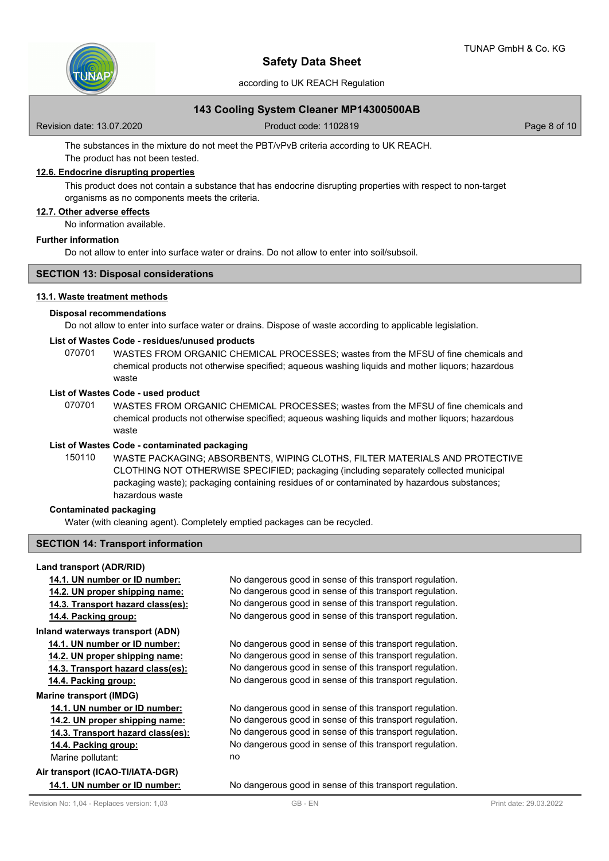

according to UK REACH Regulation

## **143 Cooling System Cleaner MP14300500AB**

Revision date: 13.07.2020 **Product code: 1102819** Page 8 of 10

The substances in the mixture do not meet the PBT/vPvB criteria according to UK REACH.

## The product has not been tested. **12.6. Endocrine disrupting properties**

This product does not contain a substance that has endocrine disrupting properties with respect to non-target organisms as no components meets the criteria.

## **12.7. Other adverse effects**

No information available.

## **Further information**

Do not allow to enter into surface water or drains. Do not allow to enter into soil/subsoil.

## **SECTION 13: Disposal considerations**

#### **13.1. Waste treatment methods**

#### **Disposal recommendations**

Do not allow to enter into surface water or drains. Dispose of waste according to applicable legislation.

#### **List of Wastes Code - residues/unused products**

070701 WASTES FROM ORGANIC CHEMICAL PROCESSES; wastes from the MFSU of fine chemicals and chemical products not otherwise specified; aqueous washing liquids and mother liquors; hazardous waste

#### **List of Wastes Code - used product**

WASTES FROM ORGANIC CHEMICAL PROCESSES; wastes from the MFSU of fine chemicals and chemical products not otherwise specified; aqueous washing liquids and mother liquors; hazardous waste 070701

#### **List of Wastes Code - contaminated packaging**

WASTE PACKAGING; ABSORBENTS, WIPING CLOTHS, FILTER MATERIALS AND PROTECTIVE CLOTHING NOT OTHERWISE SPECIFIED; packaging (including separately collected municipal packaging waste); packaging containing residues of or contaminated by hazardous substances; hazardous waste 150110

## **Contaminated packaging**

Water (with cleaning agent). Completely emptied packages can be recycled.

#### **SECTION 14: Transport information**

## **Land transport (ADR/RID)**

**14.1. UN number or ID number:** No dangerous good in sense of this transport regulation. **14.2. UN proper shipping name:** No dangerous good in sense of this transport regulation. **14.3. Transport hazard class(es):** No dangerous good in sense of this transport regulation. **14.4. Packing group:** No dangerous good in sense of this transport regulation. **Inland waterways transport (ADN) 14.1. UN number or ID number:** No dangerous good in sense of this transport regulation. **14.2. UN proper shipping name:** No dangerous good in sense of this transport regulation. **14.3. Transport hazard class(es):** No dangerous good in sense of this transport regulation. **14.4. Packing group:** No dangerous good in sense of this transport regulation. **Marine transport (IMDG) 14.1. UN number or ID number:** No dangerous good in sense of this transport regulation. **14.2. UN proper shipping name:** No dangerous good in sense of this transport regulation.

**14.3. Transport hazard class(es):** No dangerous good in sense of this transport regulation. **14.4. Packing group:** No dangerous good in sense of this transport regulation.

Marine pollutant: no

**Air transport (ICAO-TI/IATA-DGR)**

**14.1. UN number or ID number:** No dangerous good in sense of this transport regulation.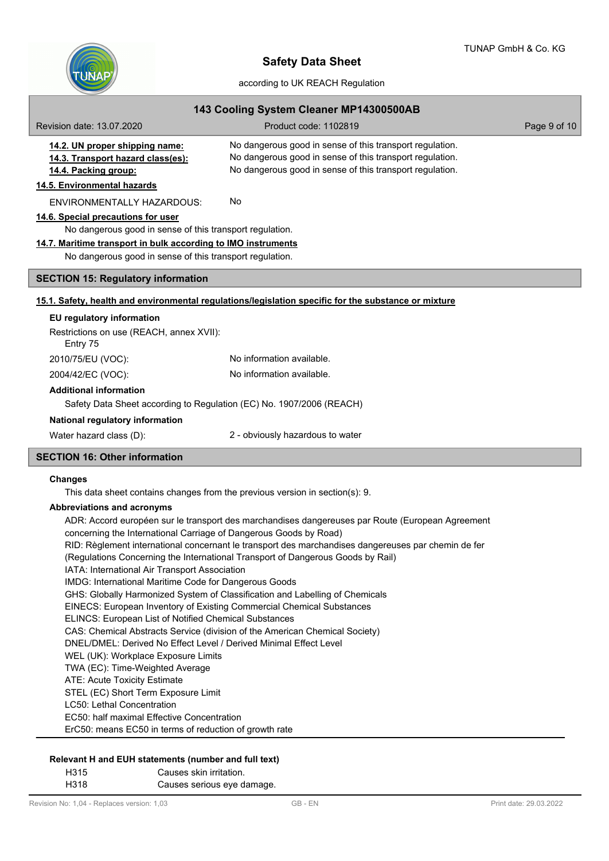

| 143 Cooling System Cleaner MP14300500AB                                                        |                                                                                                                                                                                  |              |  |  |  |
|------------------------------------------------------------------------------------------------|----------------------------------------------------------------------------------------------------------------------------------------------------------------------------------|--------------|--|--|--|
| Revision date: 13.07.2020                                                                      | Product code: 1102819                                                                                                                                                            | Page 9 of 10 |  |  |  |
| 14.2. UN proper shipping name:<br>14.3. Transport hazard class(es):<br>14.4. Packing group:    | No dangerous good in sense of this transport regulation.<br>No dangerous good in sense of this transport regulation.<br>No dangerous good in sense of this transport regulation. |              |  |  |  |
| 14.5. Environmental hazards                                                                    |                                                                                                                                                                                  |              |  |  |  |
| <b>ENVIRONMENTALLY HAZARDOUS:</b>                                                              | No                                                                                                                                                                               |              |  |  |  |
| 14.6. Special precautions for user                                                             |                                                                                                                                                                                  |              |  |  |  |
| No dangerous good in sense of this transport regulation.                                       |                                                                                                                                                                                  |              |  |  |  |
| 14.7. Maritime transport in bulk according to IMO instruments                                  |                                                                                                                                                                                  |              |  |  |  |
| No dangerous good in sense of this transport regulation.                                       |                                                                                                                                                                                  |              |  |  |  |
| <b>SECTION 15: Regulatory information</b>                                                      |                                                                                                                                                                                  |              |  |  |  |
|                                                                                                | 15.1. Safety, health and environmental regulations/legislation specific for the substance or mixture                                                                             |              |  |  |  |
| EU regulatory information                                                                      |                                                                                                                                                                                  |              |  |  |  |
| Restrictions on use (REACH, annex XVII):<br>Entry 75                                           |                                                                                                                                                                                  |              |  |  |  |
| 2010/75/EU (VOC):                                                                              | No information available.                                                                                                                                                        |              |  |  |  |
| 2004/42/EC (VOC):                                                                              | No information available.                                                                                                                                                        |              |  |  |  |
| <b>Additional information</b>                                                                  |                                                                                                                                                                                  |              |  |  |  |
| Safety Data Sheet according to Regulation (EC) No. 1907/2006 (REACH)                           |                                                                                                                                                                                  |              |  |  |  |
| National regulatory information                                                                |                                                                                                                                                                                  |              |  |  |  |
| Water hazard class (D):                                                                        | 2 - obviously hazardous to water                                                                                                                                                 |              |  |  |  |
| <b>SECTION 16: Other information</b>                                                           |                                                                                                                                                                                  |              |  |  |  |
| <b>Changes</b><br>This data sheet contains changes from the previous version in section(s): 9. |                                                                                                                                                                                  |              |  |  |  |

## **Abbreviations and acronyms**

ADR: Accord européen sur le transport des marchandises dangereuses par Route (European Agreement concerning the International Carriage of Dangerous Goods by Road) RID: Règlement international concernant le transport des marchandises dangereuses par chemin de fer (Regulations Concerning the International Transport of Dangerous Goods by Rail) IATA: International Air Transport Association IMDG: International Maritime Code for Dangerous Goods GHS: Globally Harmonized System of Classification and Labelling of Chemicals EINECS: European Inventory of Existing Commercial Chemical Substances ELINCS: European List of Notified Chemical Substances CAS: Chemical Abstracts Service (division of the American Chemical Society) DNEL/DMEL: Derived No Effect Level / Derived Minimal Effect Level WEL (UK): Workplace Exposure Limits TWA (EC): Time-Weighted Average ATE: Acute Toxicity Estimate STEL (EC) Short Term Exposure Limit LC50: Lethal Concentration EC50: half maximal Effective Concentration ErC50: means EC50 in terms of reduction of growth rate

#### **Relevant H and EUH statements (number and full text)**

H315 Causes skin irritation.

H318 Causes serious eye damage.